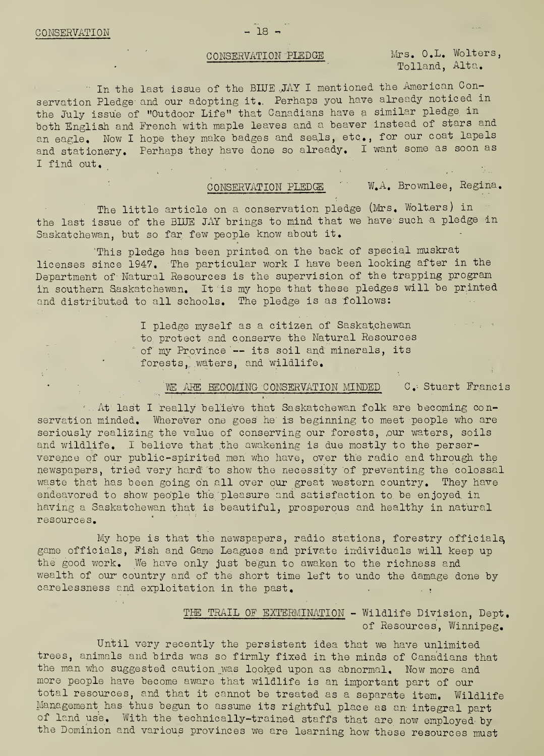CONSERVATION PLEDGE Mrs. O.L. Wolters, Tolland, Alta.

In the last issue of the BINE JAY I mentioned the American Con servation Pledge and our adopting it. Perhaps you have already noticed in the July issue of ''Outdoor Life" that Canadians have a similar pledge in both English and French with maple leaves and a beaver instead of stars and an eagle. Now I hope they make badges and seals, etc., for our coat lapels and stationery. Perhaps they have done so already. I want some as soon as I find out.

CONSERVATION PLEDGE W.A. Brownlee, Regina.

The little article on a conservation pledge (Mrs. Wolters) in the last issue of the BINE JAY brings to mind that we have such a pledge in Saskatchewan, but so far few people know about it.

This pledge has been printed on the back of special muskrat licenses since 1947. The particular work I have been looking after in the Department of Natural Resources is the supervision of the trapping program in southern Saskatchewan. It is my hope that these pledges will be printed and distributed to all schools. The pledge is as follows:

> I pledge myself as a citizen of Saskatchewan to. protect and conserve the Natural Resources of my Province — its soil and minerals, its forests, waters, and wildlife.

## WE ARE BECOMING CONSERVATION MINDED C. Stuart Francis

At last I really believe that Saskatchewan folk are becoming conservation minded. Wherever one goes he is beginning to meet people who are seriously realizing the value of conserving our forests, our waters, soils and wildlife. I believe that the awakening is due mostly to the perserverence of our public-spirited men who have, over the radio and through the newspapers, tried very hard to show the necessity of preventing the colossal waste that has been going on all over our great western country. They have endeavored to show people the pleasure and satisfaction to be enjoyed in having a Saskatchewan that is beautiful, prosperous and healthy in natural resources.

My hope is that the newspapers, radio stations, forestry officials, game officials, Fish and Game Leagues and private individuals will keep up the good work. We have only just begun to awaken to the richness and wealth of our country and of the short time left to undo the damage done by carelessness and exploitation in the past.

## THE TRAIL OF EXTERMINATION - Wildlife Division, Dept. of Resources, Winnipeg.

Until very recently the persistent idea that we have unlimited trees, animals and birds was so firmly fixed in the minds of Canadians that the man who suggested caution was looked upon as abnormal. Now more and more people have become aware that wildlife is an important part of our total resources, and that it cannot be treated as a separate item. Wildlife Management has thus begun to assume its rightful place as an integral part of land use. With the technically-trained staffs that are now employed by the Dominion and various provinces we are learning how these resources must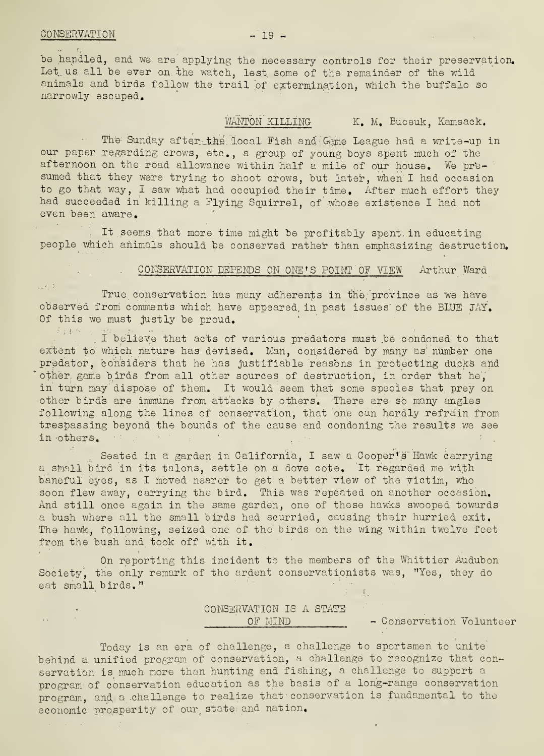$\Delta\Delta\sim 10^{11}$  and  $\Delta\Delta$ 

be handled, and we are applying the necessary controls for their preservation. Let. us. all be ever on. the watch, lest, some of the remainder of the wild animals and birds follow the trail of extermination, which the buffalo so narrowly escaped.

WANTON KILLING K. M. Buceuk, Kamsack.

The Sunday after the local Fish and Game League had a write-up in our paper regarding crows, etc., a group of young boys spent much of the afternoon on the road allowance within half a mile of our house. We presumed that they were trying to shoot crows, but later, when I had occasion to go that way, I saw what had occupied their time. After much effort they had succeeded in killing a Flying Squirrel, of whose existence I had not even been aware.

It seems that more, time might be profitably spent in educating people which animals should be conserved rather than emphasizing destruction.

### CONSERVATION DEPENDS ON ONE'S POINT OF VIEW Arthur Ward

True conservation has many adherents in the province as we have observed from comments which have appeared, in past issues of the BLUE JAY. Of this we must justly be proud.

I believe that acts of various predators must be condoned to that extent to which nature has devised. Man, considered by many as number one predator, considers that he has justifiable reasons in protecting ducks and other, game birds from all other sources of destruction, in order that he, in turn may dispose of them. It would seem that some species that prey on other birds are immune from attacks by others. There are so many angles following along the lines of conservation, that one can hardly refrain from trespassing beyond the bounds of the cause and condoning the results we see in others.

Seated in a garden in California, I saw a Cooper's' Hawk carrying <sup>a</sup> small bird in Its talons, settle oh a dove cote. It regarded me with baneful eyes, as I moved nearer to get a better view of the victim, who soon flew away, carrying the bird. This was repeated on another occasion. And still once again in the same garden, one of these hawks swooped towards <sup>a</sup> bush where all the small birds had scurried, causing their hurried exit. The hawk, following, seized one of the birds on the wing within twelve feet from the bush and took off with it.

On reporting this incident to the members of the Whittier Audubon Society, the only remark of the ardent conservationists was, "Yes, they do eat small birds."

# CONSERVATION IS A STATE

OF MIND - Conservation Volunteer

 $-1$ 

Today is an era of challenge, a challenge to sportsmen to unite behind a unified program of conservation, a challenge to recognize that conservation is much more than hunting and fishing, a challenge to support a program of conservation education as the basis of a long-range conservation program, and a challenge to realize that conservation is fundamental to the economic prosperity of our state and nation.